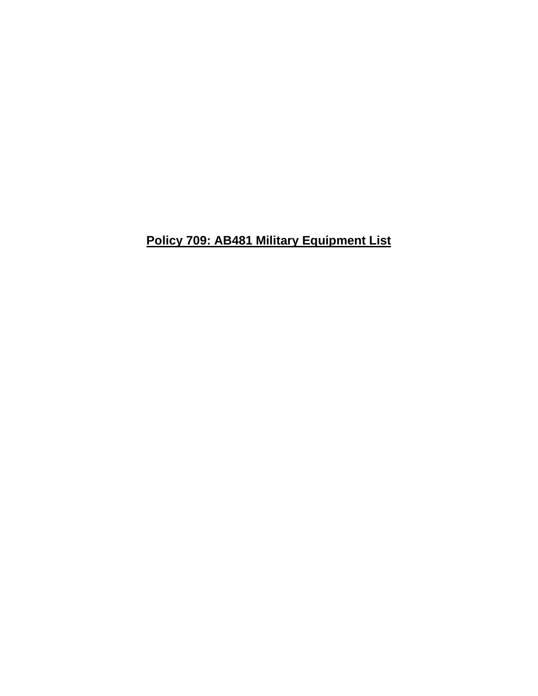**Policy 709: AB481 Military Equipment List**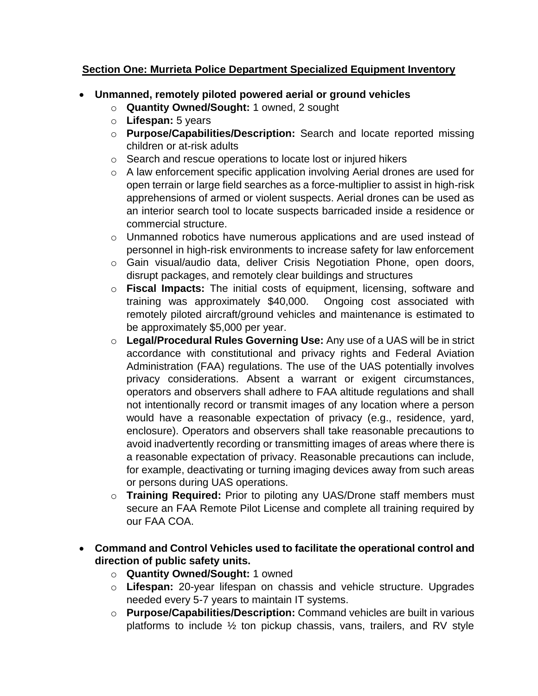## **Section One: Murrieta Police Department Specialized Equipment Inventory**

- **Unmanned, remotely piloted powered aerial or ground vehicles**
	- o **Quantity Owned/Sought:** 1 owned, 2 sought
	- o **Lifespan:** 5 years
	- o **Purpose/Capabilities/Description:** Search and locate reported missing children or at-risk adults
	- o Search and rescue operations to locate lost or injured hikers
	- o A law enforcement specific application involving Aerial drones are used for open terrain or large field searches as a force-multiplier to assist in high-risk apprehensions of armed or violent suspects. Aerial drones can be used as an interior search tool to locate suspects barricaded inside a residence or commercial structure.
	- o Unmanned robotics have numerous applications and are used instead of personnel in high-risk environments to increase safety for law enforcement
	- o Gain visual/audio data, deliver Crisis Negotiation Phone, open doors, disrupt packages, and remotely clear buildings and structures
	- o **Fiscal Impacts:** The initial costs of equipment, licensing, software and training was approximately \$40,000. Ongoing cost associated with remotely piloted aircraft/ground vehicles and maintenance is estimated to be approximately \$5,000 per year.
	- o **Legal/Procedural Rules Governing Use:** Any use of a UAS will be in strict accordance with constitutional and privacy rights and Federal Aviation Administration (FAA) regulations. The use of the UAS potentially involves privacy considerations. Absent a warrant or exigent circumstances, operators and observers shall adhere to FAA altitude regulations and shall not intentionally record or transmit images of any location where a person would have a reasonable expectation of privacy (e.g., residence, yard, enclosure). Operators and observers shall take reasonable precautions to avoid inadvertently recording or transmitting images of areas where there is a reasonable expectation of privacy. Reasonable precautions can include, for example, deactivating or turning imaging devices away from such areas or persons during UAS operations.
	- o **Training Required:** Prior to piloting any UAS/Drone staff members must secure an FAA Remote Pilot License and complete all training required by our FAA COA.
- **Command and Control Vehicles used to facilitate the operational control and direction of public safety units.** 
	- o **Quantity Owned/Sought:** 1 owned
	- o **Lifespan:** 20-year lifespan on chassis and vehicle structure. Upgrades needed every 5-7 years to maintain IT systems.
	- o **Purpose/Capabilities/Description:** Command vehicles are built in various platforms to include  $\frac{1}{2}$  ton pickup chassis, vans, trailers, and RV style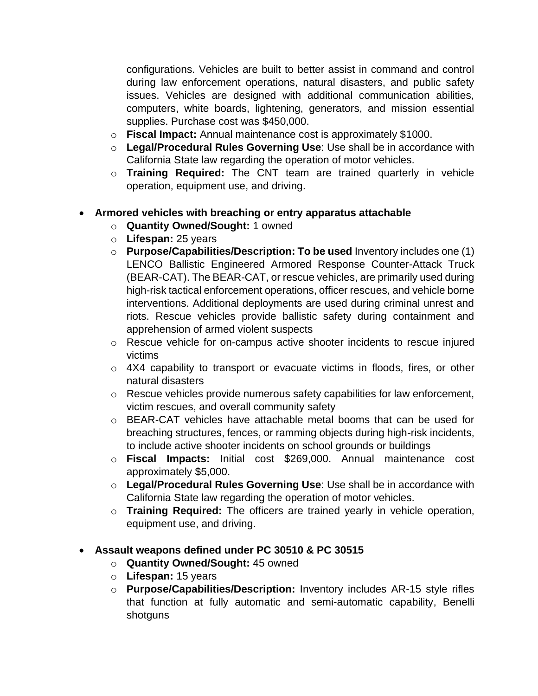configurations. Vehicles are built to better assist in command and control during law enforcement operations, natural disasters, and public safety issues. Vehicles are designed with additional communication abilities, computers, white boards, lightening, generators, and mission essential supplies. Purchase cost was \$450,000.

- o **Fiscal Impact:** Annual maintenance cost is approximately \$1000.
- o **Legal/Procedural Rules Governing Use**: Use shall be in accordance with California State law regarding the operation of motor vehicles.
- o **Training Required:** The CNT team are trained quarterly in vehicle operation, equipment use, and driving.

## • **Armored vehicles with breaching or entry apparatus attachable**

- o **Quantity Owned/Sought:** 1 owned
- o **Lifespan:** 25 years
- o **Purpose/Capabilities/Description: To be used** Inventory includes one (1) LENCO Ballistic Engineered Armored Response Counter-Attack Truck (BEAR-CAT). The BEAR-CAT, or rescue vehicles, are primarily used during high-risk tactical enforcement operations, officer rescues, and vehicle borne interventions. Additional deployments are used during criminal unrest and riots. Rescue vehicles provide ballistic safety during containment and apprehension of armed violent suspects
- o Rescue vehicle for on-campus active shooter incidents to rescue injured victims
- o 4X4 capability to transport or evacuate victims in floods, fires, or other natural disasters
- o Rescue vehicles provide numerous safety capabilities for law enforcement, victim rescues, and overall community safety
- o BEAR-CAT vehicles have attachable metal booms that can be used for breaching structures, fences, or ramming objects during high-risk incidents, to include active shooter incidents on school grounds or buildings
- o **Fiscal Impacts:** Initial cost \$269,000. Annual maintenance cost approximately \$5,000.
- o **Legal/Procedural Rules Governing Use**: Use shall be in accordance with California State law regarding the operation of motor vehicles.
- o **Training Required:** The officers are trained yearly in vehicle operation, equipment use, and driving.

## • **Assault weapons defined under PC 30510 & PC 30515**

- o **Quantity Owned/Sought:** 45 owned
- o **Lifespan:** 15 years
- o **Purpose/Capabilities/Description:** Inventory includes AR-15 style rifles that function at fully automatic and semi-automatic capability, Benelli shotguns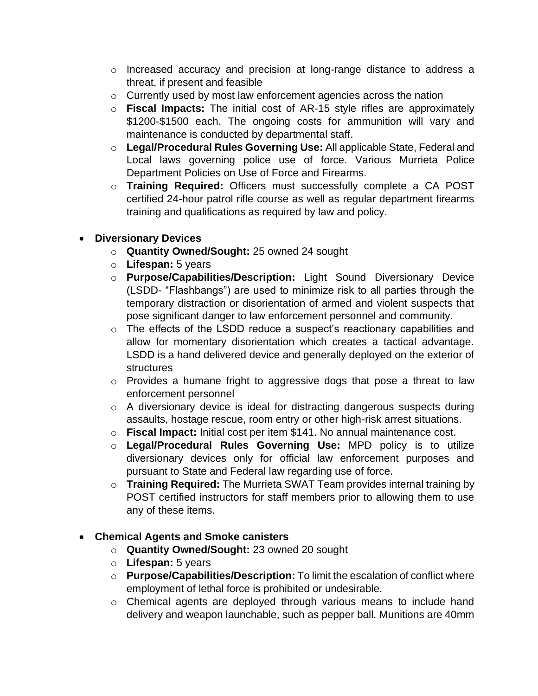- o Increased accuracy and precision at long-range distance to address a threat, if present and feasible
- o Currently used by most law enforcement agencies across the nation
- o **Fiscal Impacts:** The initial cost of AR-15 style rifles are approximately \$1200-\$1500 each. The ongoing costs for ammunition will vary and maintenance is conducted by departmental staff.
- o **Legal/Procedural Rules Governing Use:** All applicable State, Federal and Local laws governing police use of force. Various Murrieta Police Department Policies on Use of Force and Firearms.
- o **Training Required:** Officers must successfully complete a CA POST certified 24-hour patrol rifle course as well as regular department firearms training and qualifications as required by law and policy.

## • **Diversionary Devices**

- o **Quantity Owned/Sought:** 25 owned 24 sought
- o **Lifespan:** 5 years
- o **Purpose/Capabilities/Description:** Light Sound Diversionary Device (LSDD- "Flashbangs") are used to minimize risk to all parties through the temporary distraction or disorientation of armed and violent suspects that pose significant danger to law enforcement personnel and community.
- o The effects of the LSDD reduce a suspect's reactionary capabilities and allow for momentary disorientation which creates a tactical advantage. LSDD is a hand delivered device and generally deployed on the exterior of structures
- o Provides a humane fright to aggressive dogs that pose a threat to law enforcement personnel
- o A diversionary device is ideal for distracting dangerous suspects during assaults, hostage rescue, room entry or other high-risk arrest situations.
- o **Fiscal Impact:** Initial cost per item \$141. No annual maintenance cost.
- o **Legal/Procedural Rules Governing Use:** MPD policy is to utilize diversionary devices only for official law enforcement purposes and pursuant to State and Federal law regarding use of force.
- o **Training Required:** The Murrieta SWAT Team provides internal training by POST certified instructors for staff members prior to allowing them to use any of these items.

## • **Chemical Agents and Smoke canisters**

- o **Quantity Owned/Sought:** 23 owned 20 sought
- o **Lifespan:** 5 years
- o **Purpose/Capabilities/Description:** To limit the escalation of conflict where employment of lethal force is prohibited or undesirable.
- o Chemical agents are deployed through various means to include hand delivery and weapon launchable, such as pepper ball. Munitions are 40mm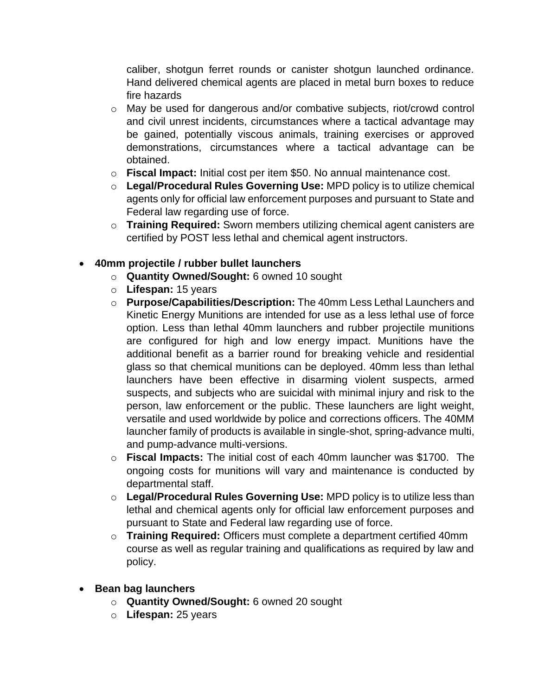caliber, shotgun ferret rounds or canister shotgun launched ordinance. Hand delivered chemical agents are placed in metal burn boxes to reduce fire hazards

- o May be used for dangerous and/or combative subjects, riot/crowd control and civil unrest incidents, circumstances where a tactical advantage may be gained, potentially viscous animals, training exercises or approved demonstrations, circumstances where a tactical advantage can be obtained.
- o **Fiscal Impact:** Initial cost per item \$50. No annual maintenance cost.
- o **Legal/Procedural Rules Governing Use:** MPD policy is to utilize chemical agents only for official law enforcement purposes and pursuant to State and Federal law regarding use of force.
- o **Training Required:** Sworn members utilizing chemical agent canisters are certified by POST less lethal and chemical agent instructors.

# • **40mm projectile / rubber bullet launchers**

- o **Quantity Owned/Sought:** 6 owned 10 sought
- o **Lifespan:** 15 years
- o **Purpose/Capabilities/Description:** The 40mm Less Lethal Launchers and Kinetic Energy Munitions are intended for use as a less lethal use of force option. Less than lethal 40mm launchers and rubber projectile munitions are configured for high and low energy impact. Munitions have the additional benefit as a barrier round for breaking vehicle and residential glass so that chemical munitions can be deployed. 40mm less than lethal launchers have been effective in disarming violent suspects, armed suspects, and subjects who are suicidal with minimal injury and risk to the person, law enforcement or the public. These launchers are light weight, versatile and used worldwide by police and corrections officers. The 40MM launcher family of products is available in single-shot, spring-advance multi, and pump-advance multi-versions.
- o **Fiscal Impacts:** The initial cost of each 40mm launcher was \$1700. The ongoing costs for munitions will vary and maintenance is conducted by departmental staff.
- o **Legal/Procedural Rules Governing Use:** MPD policy is to utilize less than lethal and chemical agents only for official law enforcement purposes and pursuant to State and Federal law regarding use of force.
- o **Training Required:** Officers must complete a department certified 40mm course as well as regular training and qualifications as required by law and policy.
- **Bean bag launchers** 
	- o **Quantity Owned/Sought:** 6 owned 20 sought
	- o **Lifespan:** 25 years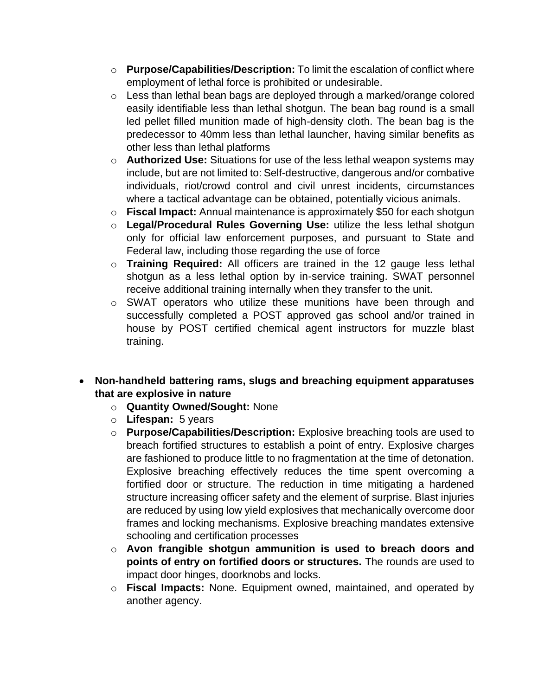- o **Purpose/Capabilities/Description:** To limit the escalation of conflict where employment of lethal force is prohibited or undesirable.
- o Less than lethal bean bags are deployed through a marked/orange colored easily identifiable less than lethal shotgun. The bean bag round is a small led pellet filled munition made of high-density cloth. The bean bag is the predecessor to 40mm less than lethal launcher, having similar benefits as other less than lethal platforms
- o **Authorized Use:** Situations for use of the less lethal weapon systems may include, but are not limited to: Self-destructive, dangerous and/or combative individuals, riot/crowd control and civil unrest incidents, circumstances where a tactical advantage can be obtained, potentially vicious animals.
- o **Fiscal Impact:** Annual maintenance is approximately \$50 for each shotgun
- o **Legal/Procedural Rules Governing Use:** utilize the less lethal shotgun only for official law enforcement purposes, and pursuant to State and Federal law, including those regarding the use of force
- o **Training Required:** All officers are trained in the 12 gauge less lethal shotgun as a less lethal option by in-service training. SWAT personnel receive additional training internally when they transfer to the unit.
- o SWAT operators who utilize these munitions have been through and successfully completed a POST approved gas school and/or trained in house by POST certified chemical agent instructors for muzzle blast training.
- **Non-handheld battering rams, slugs and breaching equipment apparatuses that are explosive in nature** 
	- o **Quantity Owned/Sought:** None
	- o **Lifespan:** 5 years
	- o **Purpose/Capabilities/Description:** Explosive breaching tools are used to breach fortified structures to establish a point of entry. Explosive charges are fashioned to produce little to no fragmentation at the time of detonation. Explosive breaching effectively reduces the time spent overcoming a fortified door or structure. The reduction in time mitigating a hardened structure increasing officer safety and the element of surprise. Blast injuries are reduced by using low yield explosives that mechanically overcome door frames and locking mechanisms. Explosive breaching mandates extensive schooling and certification processes
	- o **Avon frangible shotgun ammunition is used to breach doors and points of entry on fortified doors or structures.** The rounds are used to impact door hinges, doorknobs and locks.
	- o **Fiscal Impacts:** None. Equipment owned, maintained, and operated by another agency.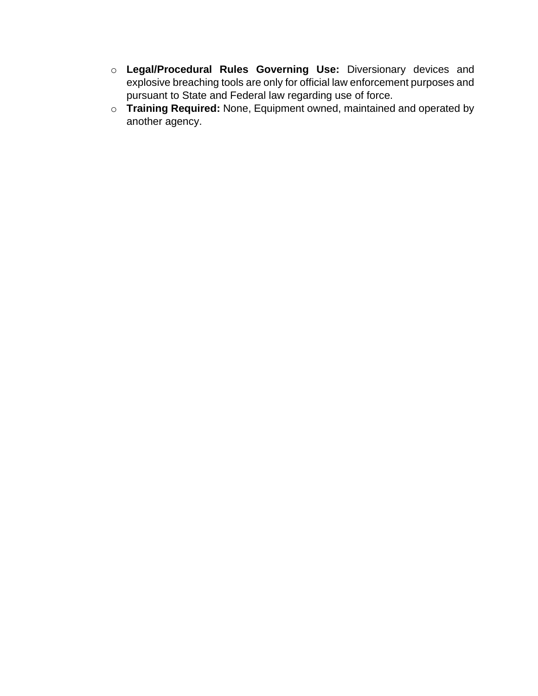- o **Legal/Procedural Rules Governing Use:** Diversionary devices and explosive breaching tools are only for official law enforcement purposes and pursuant to State and Federal law regarding use of force.
- o **Training Required:** None, Equipment owned, maintained and operated by another agency.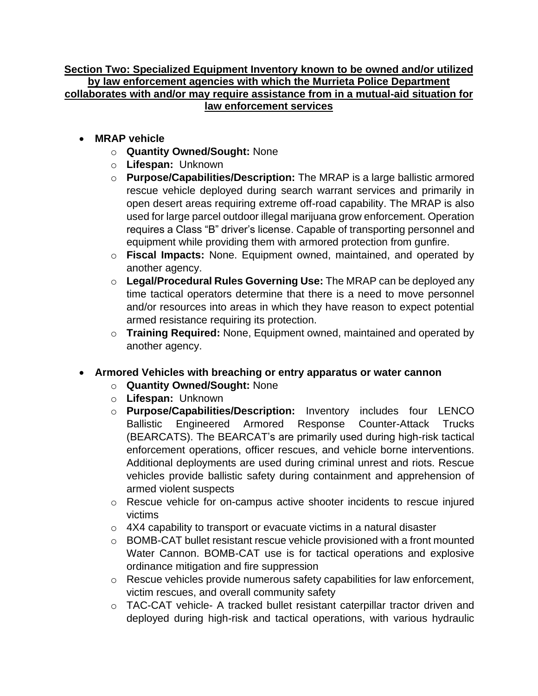#### **Section Two: Specialized Equipment Inventory known to be owned and/or utilized by law enforcement agencies with which the Murrieta Police Department collaborates with and/or may require assistance from in a mutual-aid situation for law enforcement services**

- **MRAP vehicle**
	- o **Quantity Owned/Sought:** None
	- o **Lifespan:** Unknown
	- o **Purpose/Capabilities/Description:** The MRAP is a large ballistic armored rescue vehicle deployed during search warrant services and primarily in open desert areas requiring extreme off-road capability. The MRAP is also used for large parcel outdoor illegal marijuana grow enforcement. Operation requires a Class "B" driver's license. Capable of transporting personnel and equipment while providing them with armored protection from gunfire.
	- o **Fiscal Impacts:** None. Equipment owned, maintained, and operated by another agency.
	- o **Legal/Procedural Rules Governing Use:** The MRAP can be deployed any time tactical operators determine that there is a need to move personnel and/or resources into areas in which they have reason to expect potential armed resistance requiring its protection.
	- o **Training Required:** None, Equipment owned, maintained and operated by another agency.

#### • **Armored Vehicles with breaching or entry apparatus or water cannon**

- o **Quantity Owned/Sought:** None
- o **Lifespan:** Unknown
- o **Purpose/Capabilities/Description:** Inventory includes four LENCO Ballistic Engineered Armored Response Counter-Attack Trucks (BEARCATS). The BEARCAT's are primarily used during high-risk tactical enforcement operations, officer rescues, and vehicle borne interventions. Additional deployments are used during criminal unrest and riots. Rescue vehicles provide ballistic safety during containment and apprehension of armed violent suspects
- o Rescue vehicle for on-campus active shooter incidents to rescue injured victims
- o 4X4 capability to transport or evacuate victims in a natural disaster
- o BOMB-CAT bullet resistant rescue vehicle provisioned with a front mounted Water Cannon. BOMB-CAT use is for tactical operations and explosive ordinance mitigation and fire suppression
- o Rescue vehicles provide numerous safety capabilities for law enforcement, victim rescues, and overall community safety
- o TAC-CAT vehicle- A tracked bullet resistant caterpillar tractor driven and deployed during high-risk and tactical operations, with various hydraulic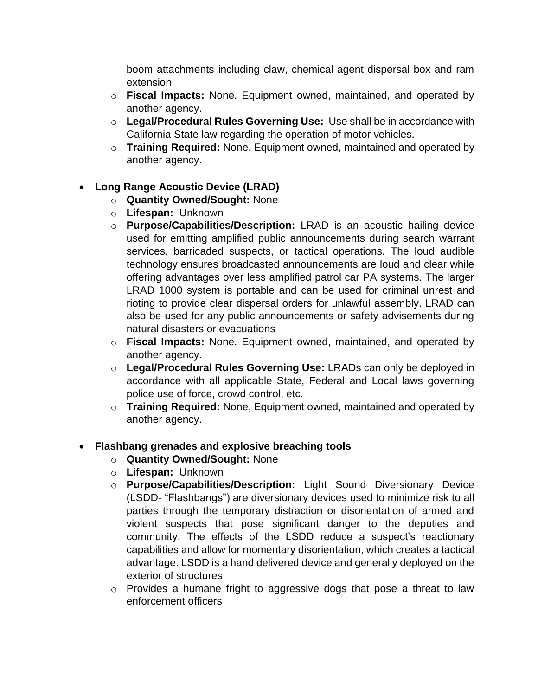boom attachments including claw, chemical agent dispersal box and ram extension

- o **Fiscal Impacts:** None. Equipment owned, maintained, and operated by another agency.
- o **Legal/Procedural Rules Governing Use:** Use shall be in accordance with California State law regarding the operation of motor vehicles.
- o **Training Required:** None, Equipment owned, maintained and operated by another agency.

# • **Long Range Acoustic Device (LRAD)**

- o **Quantity Owned/Sought:** None
- o **Lifespan:** Unknown
- o **Purpose/Capabilities/Description:** LRAD is an acoustic hailing device used for emitting amplified public announcements during search warrant services, barricaded suspects, or tactical operations. The loud audible technology ensures broadcasted announcements are loud and clear while offering advantages over less amplified patrol car PA systems. The larger LRAD 1000 system is portable and can be used for criminal unrest and rioting to provide clear dispersal orders for unlawful assembly. LRAD can also be used for any public announcements or safety advisements during natural disasters or evacuations
- o **Fiscal Impacts:** None. Equipment owned, maintained, and operated by another agency.
- o **Legal/Procedural Rules Governing Use:** LRADs can only be deployed in accordance with all applicable State, Federal and Local laws governing police use of force, crowd control, etc.
- o **Training Required:** None, Equipment owned, maintained and operated by another agency.

# • **Flashbang grenades and explosive breaching tools**

- o **Quantity Owned/Sought:** None
- o **Lifespan:** Unknown
- o **Purpose/Capabilities/Description:** Light Sound Diversionary Device (LSDD- "Flashbangs") are diversionary devices used to minimize risk to all parties through the temporary distraction or disorientation of armed and violent suspects that pose significant danger to the deputies and community. The effects of the LSDD reduce a suspect's reactionary capabilities and allow for momentary disorientation, which creates a tactical advantage. LSDD is a hand delivered device and generally deployed on the exterior of structures
- o Provides a humane fright to aggressive dogs that pose a threat to law enforcement officers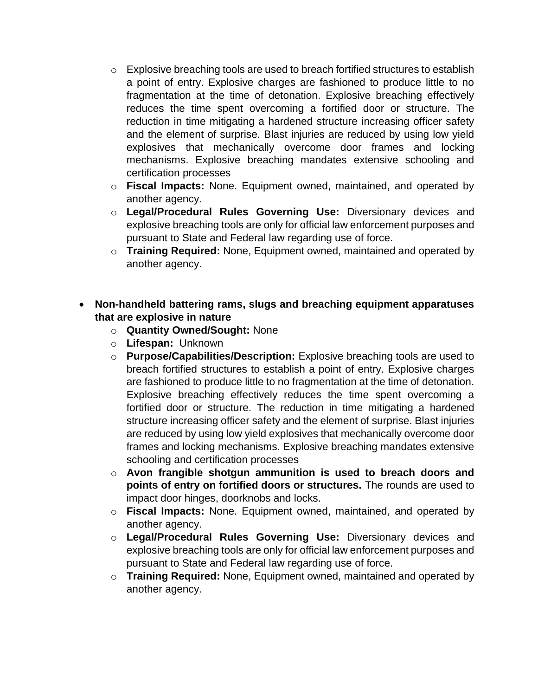- $\circ$  Explosive breaching tools are used to breach fortified structures to establish a point of entry. Explosive charges are fashioned to produce little to no fragmentation at the time of detonation. Explosive breaching effectively reduces the time spent overcoming a fortified door or structure. The reduction in time mitigating a hardened structure increasing officer safety and the element of surprise. Blast injuries are reduced by using low yield explosives that mechanically overcome door frames and locking mechanisms. Explosive breaching mandates extensive schooling and certification processes
- o **Fiscal Impacts:** None. Equipment owned, maintained, and operated by another agency.
- o **Legal/Procedural Rules Governing Use:** Diversionary devices and explosive breaching tools are only for official law enforcement purposes and pursuant to State and Federal law regarding use of force.
- o **Training Required:** None, Equipment owned, maintained and operated by another agency.

## • **Non-handheld battering rams, slugs and breaching equipment apparatuses that are explosive in nature**

- o **Quantity Owned/Sought:** None
- o **Lifespan:** Unknown
- o **Purpose/Capabilities/Description:** Explosive breaching tools are used to breach fortified structures to establish a point of entry. Explosive charges are fashioned to produce little to no fragmentation at the time of detonation. Explosive breaching effectively reduces the time spent overcoming a fortified door or structure. The reduction in time mitigating a hardened structure increasing officer safety and the element of surprise. Blast injuries are reduced by using low yield explosives that mechanically overcome door frames and locking mechanisms. Explosive breaching mandates extensive schooling and certification processes
- o **Avon frangible shotgun ammunition is used to breach doors and points of entry on fortified doors or structures.** The rounds are used to impact door hinges, doorknobs and locks.
- o **Fiscal Impacts:** None. Equipment owned, maintained, and operated by another agency.
- o **Legal/Procedural Rules Governing Use:** Diversionary devices and explosive breaching tools are only for official law enforcement purposes and pursuant to State and Federal law regarding use of force.
- o **Training Required:** None, Equipment owned, maintained and operated by another agency.